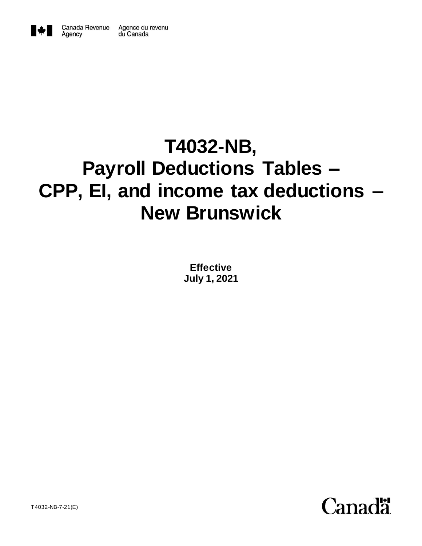

Agency

# **T4032-NB, Payroll Deductions Tables – CPP, EI, and income tax deductions – New Brunswick**

**Effective July 1, 2021**

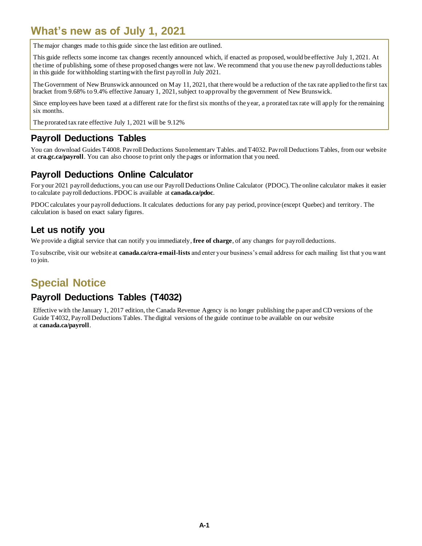# <span id="page-1-0"></span>**What's new as of July 1, 2021**

The major changes made to this guide since the last edition are outlined.

This guide reflects some income tax changes recently announced which, if enacted as proposed, would be effective July 1, 2021. At the time of publishing, some of these proposed changes were not law. We recommend that you use the new payroll deductions tables in this guide for withholding starting with the first payroll in July 2021.

The Government of New Brunswick announced on May 11, 2021, that there would be a reduction of the tax rate applied to the first tax bracket from 9.68% to 9.4% effective January 1, 2021, subject to approval by the government of New Brunswick.

Since employees have been taxed at a different rate for the first six months of the year, a prorated tax rate will apply for the remaining six months.

The prorated tax rate effective July 1, 2021 will be 9.12%

### <span id="page-1-1"></span>**Payroll Deductions Tables**

You can download Guides T4008, Payroll Deductions Supplementary Tables*,* and T4032, Payroll Deductions Tables, from our website at **cra.gc.ca/payroll**. You can also choose to print only the pages or information that you need.

### <span id="page-1-2"></span>**Payroll Deductions Online Calculator**

For your 2021 payroll deductions, you can use our Payroll Deductions Online Calculator (PDOC). The online calculator makes it easier to calculate payroll deductions. PDOC is available at **canada.ca/pdoc**.

PDOC calculates your payroll deductions. It calculates deductions for any pay period, province (except Quebec) and territory. The calculation is based on exact salary figures.

### <span id="page-1-3"></span>**Let us notify you**

We provide a digital service that can notify you immediately, free of charge, of any changes for payroll deductions.

To subscribe, visit our website at **canada.ca/cra-email-lists** and enter your business's email address for each mailing list that you want to join.

# <span id="page-1-4"></span>**Special Notice**

### <span id="page-1-5"></span>**Payroll Deductions Tables (T4032)**

Effective with the January 1, 2017 edition, the Canada Revenue Agency is no longer publishing the paper and CD versions of the Guide T4032, Payroll Deductions Tables. The digital versions of the guide continue to be available on our website at **[canada.ca/payroll](file://///Omega.dce-eir.net/natdfs/CRA/HQ/TSDM/TSDM_H25/GV2/5048/301/Special/Payroll%20Tables/T4032%20Payroll%20Deductions%20Tables/2016%20January/Web/English/Working%20Copies/www.cra.gc.ca/payroll)**.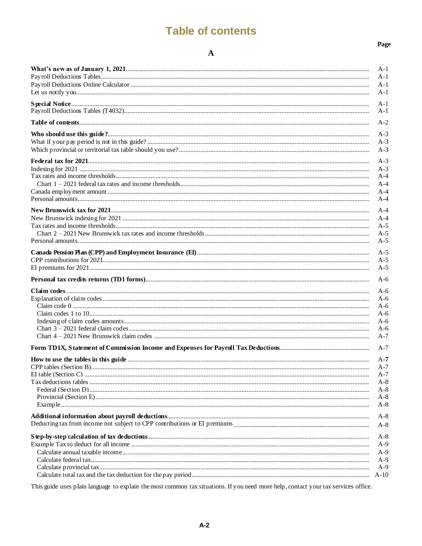# **Table of contents**

#### $\mathbf A$

| ×<br>v<br>۰.<br>I<br>۰.<br>۰. |
|-------------------------------|
|-------------------------------|

<span id="page-2-0"></span>

|                         | A-1            |
|-------------------------|----------------|
|                         | $A-1$          |
|                         | $A-1$          |
|                         | $A-1$          |
|                         | $A-1$          |
|                         | $A-1$          |
|                         |                |
|                         | $A-2$          |
|                         | $A-3$          |
|                         | $A-3$          |
|                         | $A-3$          |
|                         |                |
|                         | $A-3$          |
|                         | $A-3$<br>$A-4$ |
|                         | $A-4$          |
|                         | $A-4$          |
|                         | $A-4$          |
|                         |                |
|                         | $A-4$          |
|                         | $A-4$          |
|                         | $A-5$          |
|                         | $A-5$          |
|                         | $A-5$          |
|                         | $A-5$          |
|                         | $A-5$          |
|                         | $A-5$          |
|                         | $A-6$          |
|                         |                |
|                         | $A-6$          |
|                         | $A-6$          |
|                         | $A-6$          |
|                         | $A-6$<br>$A-6$ |
|                         | $A-6$          |
|                         | $A-7$          |
|                         |                |
|                         | $A-7$          |
|                         | $A-7$          |
| CPP tables (Section B). | $A-7$          |
|                         | $A-7$          |
|                         | A-8            |
|                         | $A-8$          |
|                         | $A-8$          |
|                         | $A-8$          |
|                         | $A-8$          |
|                         | $A-8$          |
|                         |                |
|                         | $A-8$          |
|                         | A-9            |
|                         | $A-9$          |
|                         | $A-9$          |
|                         | $A-9$          |
|                         | $A-10$         |

This guide uses plain language to explain the most common tax situations. If you need more help, contact your tax services office.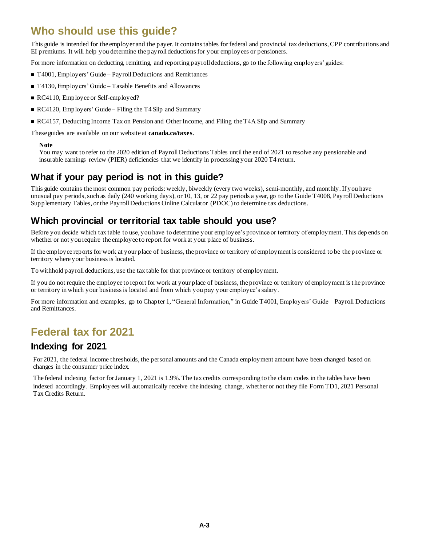# <span id="page-3-0"></span>**Who should use this guide?**

This guide is intended for the employer and the payer. It contains tables for federal and provincial tax deductions, CPP contributions and EI premiums. It will help you determine the payroll deductions for your employees or pensioners.

For more information on deducting, remitting, and reporting payroll deductions, go to the following employers' guides:

- T4001, Employers' Guide Payroll Deductions and Remittances
- T4130, Employers' Guide Taxable Benefits and Allowances
- RC4110, Employee or Self-employed?
- RC4120, Employers' Guide Filing the T4 Slip and Summary
- RC4157, Deducting Income Tax on Pension and Other Income, and Filing the T4A Slip and Summary

These guides are available on our website at **canada.ca/taxes**.

#### **Note**

You may want to refer to the 2020 edition of Payroll Deductions Tables until the end of 2021 to resolve any pensionable and insurable earnings review (PIER) deficiencies that we identify in processing your 2020 T4 return.

# <span id="page-3-1"></span>**What if your pay period is not in this guide?**

This guide contains the most common pay periods: weekly, biweekly (every two weeks), semi-monthly, and monthly. If you have unusual pay periods, such as daily (240 working days), or 10, 13, or 22 pay periods a year, go to the Guide T4008, Payroll Deductions Supplementary Tables*,* or the Payroll Deductions Online Calculator (PDOC) to determine tax deductions.

# <span id="page-3-2"></span>**Which provincial or territorial tax table should you use?**

Before you decide which tax table to use, you have to determine your employee's province or territory of employment. This dep ends on whether or not you require the employee to report for work at your place of business.

If the employee reports for work at your place of business, the province or territory of employment is considered to be the p rovince or territory where your business is located.

To withhold payroll deductions, use the tax table for that province or territory of employment.

If you do not require the employee to report for work at your place of business, the province or territory of employment is t he province or territory in which your business is located and from which you pay your employee's salary.

For more information and examples, go to Chapter 1, "General Information," in Guide T4001, Employers' Guide – Payroll Deductions and Remittances*.*

# <span id="page-3-3"></span>**Federal tax for 2021**

### <span id="page-3-4"></span>**Indexing for 2021**

For 2021, the federal income thresholds, the personal amounts and the Canada employment amount have been changed based on changes in the consumer price index.

The federal indexing factor for January 1, 2021 is 1.9%. The tax credits corresponding to the claim codes in the tables have been indexed accordingly. Employees will automatically receive the indexing change, whether or not they file Form TD1, 2021 Personal Tax Credits Return.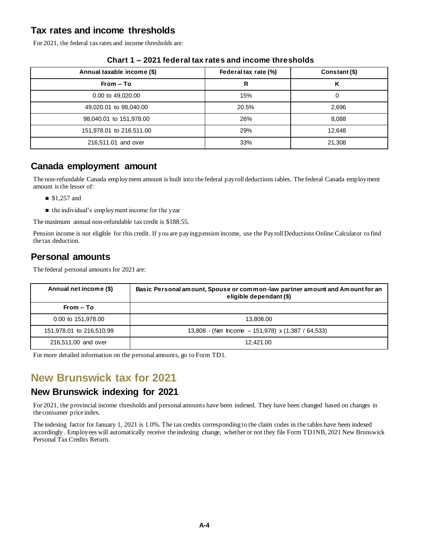# <span id="page-4-0"></span>**Tax rates and income thresholds**

For 2021, the federal tax rates and income thresholds are:

<span id="page-4-1"></span>

| Annual taxable income (\$) | Federal tax rate (%) | Constant (\$) |
|----------------------------|----------------------|---------------|
| $From - To$                | R                    | κ             |
| 0.00 to 49,020.00          | 15%                  | 0             |
| 49,020.01 to 98,040.00     | 20.5%                | 2,696         |
| 98,040.01 to 151,978.00    | 26%                  | 8.088         |
| 151,978.01 to 216,511.00   | 29%                  | 12,648        |
| 216,511.01 and over        | 33%                  | 21,308        |

#### **Chart 1 – 2021 federal tax rates and income thresholds**

### <span id="page-4-2"></span>**Canada employment amount**

The non-refundable Canada employment amount is built into the federal payroll deductions tables. The federal Canada employment amount is the lesser of:

- $$1,257$  and
- the individual's employment income for the year

The maximum annual non-refundable tax credit is \$188.55.

Pension income is not eligible for this credit. If you are paying pension income, use the Payroll Deductions Online Calculator to find the tax deduction*.*

# <span id="page-4-3"></span>**Personal amounts**

The federal personal amounts for 2021 are:

| Annual net income (\$)   | Basic Personal amount, Spouse or common-law partner amount and Amount for an<br>eligible dependant (\$) |  |
|--------------------------|---------------------------------------------------------------------------------------------------------|--|
| From – To                |                                                                                                         |  |
| 0.00 to 151,978.00       | 13.808.00                                                                                               |  |
| 151,978.01 to 216,510.99 | 13,808 - (Net Income $-151,978$ ) x (1,387 / 64,533)                                                    |  |
| 216,511.00 and over      | 12.421.00                                                                                               |  |

For more detailed information on the personal amounts, go to Form TD1.

# <span id="page-4-4"></span>**New Brunswick tax for 2021**

### <span id="page-4-5"></span>**New Brunswick indexing for 2021**

For 2021, the provincial income thresholds and personal amounts have been indexed. They have been changed based on changes in the consumer price index.

The indexing factor for January 1, 2021 is 1.0%. The tax credits corresponding to the claim codes in the tables have been indexed accordingly. Employees will automatically receive the indexing change, whether or not they file Form TD1NB, 2021 New Brunswick Personal Tax Credits Return.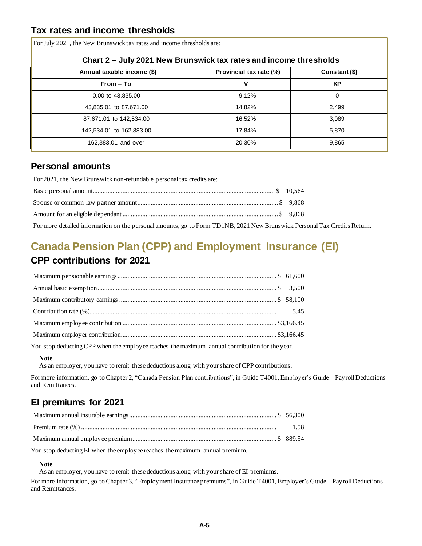# <span id="page-5-0"></span>**Tax rates and income thresholds**

For July 2021, the New Brunswick tax rates and income thresholds are:

<span id="page-5-1"></span>

| Chart 2 – July 2021 New Brunswick tax rates and income thresholds |                                          |       |  |  |
|-------------------------------------------------------------------|------------------------------------------|-------|--|--|
| Annual taxable income (\$)                                        | Provincial tax rate (%)<br>Constant (\$) |       |  |  |
| $From - To$                                                       | v                                        | KP    |  |  |
| 0.00 to 43,835.00                                                 | 9.12%                                    | 0     |  |  |
| 43,835.01 to 87,671.00                                            | 14.82%                                   | 2,499 |  |  |
| 87,671.01 to 142,534.00                                           | 16.52%                                   | 3,989 |  |  |
| 142,534.01 to 162,383.00                                          | 17.84%                                   | 5.870 |  |  |
| 162,383.01 and over                                               | 20.30%                                   | 9,865 |  |  |

### <span id="page-5-2"></span>**Personal amounts**

For 2021, the New Brunswick non-refundable personal tax credits are:

| For more detailed information on the personal amounts, go to Form TD1NB, 2021 New Brunswick Personal Tax Credits Return. |  |
|--------------------------------------------------------------------------------------------------------------------------|--|

# <span id="page-5-4"></span><span id="page-5-3"></span>**Canada Pension Plan (CPP) and Employment Insurance (EI) CPP contributions for 2021**

You stop deducting CPP when the employee reaches the maximum annual contribution for the year.

#### **Note**

As an employer, you have to remit these deductions along with your share of CPP contributions.

For more information, go to Chapter 2, "Canada Pension Plan contributions", in Guide T4001, Employer's Guide – Payroll Deductions and Remittances*.*

# <span id="page-5-5"></span>**EI premiums for 2021**

You stop deducting EI when the employee reaches the maximum annual premium.

**Note**

As an employer, you have to remit these deductions along with your share of EI premiums.

For more information, go to Chapter 3, "Employment Insurance premiums", in Guide T4001, Employer's Guide – Payroll Deductions and Remittances*.*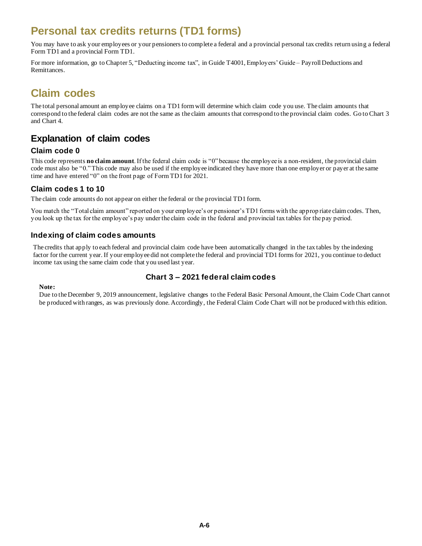# <span id="page-6-0"></span>**Personal tax credits returns (TD1 forms)**

You may have to ask your employees or your pensioners to complete a federal and a provincial personal tax credits return using a federal Form TD1 and a provincial Form TD1.

For more information, go to Chapter 5, "Deducting income tax", in Guide T4001, Employers' Guide – Payroll Deductions and Remittances.

# <span id="page-6-1"></span>**Claim codes**

The total personal amount an employee claims on a TD1 form will determine which claim code you use. The claim amounts that correspond to the federal claim codes are not the same as the claim amounts that correspond to the provincial claim codes. Go to Chart 3 and Chart 4.

# <span id="page-6-2"></span>**Explanation of claim codes**

#### <span id="page-6-3"></span>**Claim code 0**

This code represents **no claim amount**. If the federal claim code is "0" because the employee is a non-resident, the provincial claim code must also be "0."This code may also be used if the employee indicated they have more than one employer or payer at the same time and have entered "0" on the front page of Form TD1 for 2021.

#### <span id="page-6-4"></span>**Claim codes 1 to 10**

The claim code amounts do not appear on either the federal or the provincial TD1 form.

You match the "Total claim amount" reported on your employee's or pensioner's TD1 forms with the approp riate claim codes. Then, you look up the tax for the employee's pay under the claim code in the federal and provincial tax tables for the pay period.

#### <span id="page-6-5"></span>**Indexing of claim codes amounts**

The credits that apply to each federal and provincial claim code have been automatically changed in the tax tables by the indexing factor for the current year. If your employee did not complete the federal and provincial TD1 forms for 2021, you continue to deduct income tax using the same claim code that you used last year.

#### **Chart 3 – 2021 federal claim codes**

#### <span id="page-6-6"></span>**Note:**

Due to the December 9, 2019 announcement, legislative changes to the Federal Basic Personal Amount, the Claim Code Chart cannot be produced with ranges, as was previously done. Accordingly, the Federal Claim Code Chart will not be produced with this edition.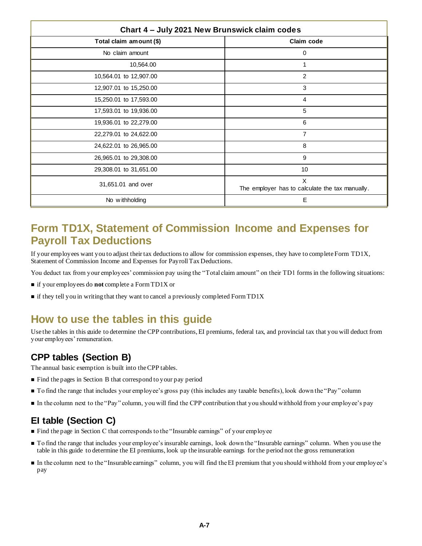<span id="page-7-0"></span>

| Chart 4 - July 2021 New Brunswick claim codes |                                                      |  |  |  |
|-----------------------------------------------|------------------------------------------------------|--|--|--|
| Claim code<br>Total claim amount (\$)         |                                                      |  |  |  |
| No claim amount                               | 0                                                    |  |  |  |
| 10,564.00                                     |                                                      |  |  |  |
| 10,564.01 to 12,907.00                        | $\overline{2}$                                       |  |  |  |
| 12,907.01 to 15,250.00                        | 3                                                    |  |  |  |
| 15,250.01 to 17,593.00                        | 4                                                    |  |  |  |
| 17,593.01 to 19,936.00                        | 5                                                    |  |  |  |
| 19,936.01 to 22,279.00                        | 6                                                    |  |  |  |
| 22,279.01 to 24,622.00                        | $\overline{7}$                                       |  |  |  |
| 24,622.01 to 26,965.00                        | 8                                                    |  |  |  |
| 26,965.01 to 29,308.00                        | 9                                                    |  |  |  |
| 29,308.01 to 31,651.00                        | 10                                                   |  |  |  |
| 31,651.01 and over                            | X<br>The employer has to calculate the tax manually. |  |  |  |
| No withholding                                | Е                                                    |  |  |  |

# <span id="page-7-1"></span>**Form TD1X, Statement of Commission Income and Expenses for Payroll Tax Deductions**

If your employees want you to adjust their tax deductions to allow for commission expenses, they have to complete Form TD1X, Statement of Commission Income and Expenses for Payroll Tax Deductions.

You deduct tax from your employees' commission pay using the "Total claim amount" on their TD1 forms in the following situations:

- if your employees do **not** complete a Form TD1X or
- **i** if they tell you in writing that they want to cancel a previously completed Form TD1X

# <span id="page-7-2"></span>**How to use the tables in this guide**

Use the tables in this guide to determine the CPP contributions, EI premiums, federal tax, and provincial tax that you will deduct from your employees' remuneration.

# <span id="page-7-3"></span>**CPP tables (Section B)**

The annual basic exemption is built into the CPP tables.

- Find the pages in Section B that correspond to your pay period
- To find the range that includes your employee's gross pay (this includes any taxable benefits), look down the "Pay" column
- In the column next to the "Pay" column, you will find the CPP contribution that you should withhold from your employee's pay

### <span id="page-7-4"></span>**EI table (Section C)**

- Find the page in Section C that corresponds to the "Insurable earnings" of your employee
- To find the range that includes your employee's insurable earnings, look down the "Insurable earnings" column. When you use the table in this guide to determine the EI premiums, look up the insurable earnings for the period not the gross remuneration
- In the column next to the "Insurable earnings" column, you will find the EI premium that you should withhold from your employee's pay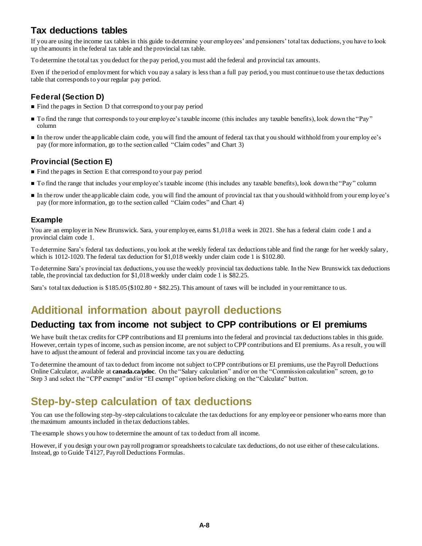# <span id="page-8-0"></span>**Tax deductions tables**

If you are using the income tax tables in this guide to determine your employees' and pensioners' total tax deductions, you have to look up the amounts in the federal tax table and the provincial tax table.

To determine the total tax you deduct for the pay period, you must add the federal and provincial tax amounts.

Even if the period of employment for which you pay a salary is less than a full pay period, you must continue to use the tax deductions table that corresponds to your regular pay period.

### <span id="page-8-1"></span>**Federal (Section D)**

- Find the pages in Section D that correspond to your pay period
- To find the range that corresponds to your employee's taxable income (this includes any taxable benefits), look down the "Pay" column
- In the row under the applicable claim code, you will find the amount of federal tax that you should withhold from your employ ee's pay (for more information, go to the section called ["Claim codes"](#page-6-1) and Chart 3)

#### <span id="page-8-2"></span>**Provincial (Section E)**

- Find the pages in Section E that correspond to your pay period
- To find the range that includes your employee's taxable income (this includes any taxable benefits), look down the "Pay" column
- In the row under the applicable claim code, you will find the amount of provincial tax that you should withhold from your emp loyee's pay (for more information, go to the section called ["Claim codes"](#page-6-1) and Chart 4)

#### <span id="page-8-3"></span>**Example**

You are an employer in New Brunswick. Sara, your employee, earns \$1,018 a week in 2021. She has a federal claim code 1 and a provincial claim code 1.

To determine Sara's federal tax deductions, you look at the weekly federal tax deductions table and find the range for her weekly salary, which is 1012-1020. The federal tax deduction for \$1,018 weekly under claim code 1 is \$102.80.

To determine Sara's provincial tax deductions, you use the weekly provincial tax deductions table. In the New Brunswick tax deductions table, the provincial tax deduction for \$1,018 weekly under claim code 1 is \$82.25.

Sara's total tax deduction is \$185.05 (\$102.80 + \$82.25). This amount of taxes will be included in your remittance to us.

# <span id="page-8-4"></span>**Additional information about payroll deductions**

### <span id="page-8-5"></span>**Deducting tax from income not subject to CPP contributions or EI premiums**

We have built the tax credits for CPP contributions and EI premiums into the federal and provincial tax deductions tables in this guide. However, certain types of income, such as pension income, are not subject to CPP contributions and EI premiums. As a result, you will have to adjust the amount of federal and provincial income tax you are deducting.

To determine the amount of tax to deduct from income not subject to CPP contributions or EI premiums, use the Payroll Deductions Online Calculator, available at **canada.ca/pdoc**. On the "Salary calculation" and/or on the "Commission calculation" screen, go to Step 3 and select the "CPP exempt" and/or "EI exempt" option before clicking on the "Calculate" button.

# <span id="page-8-6"></span>**Step-by-step calculation of tax deductions**

You can use the following step-by-step calculations to calculate the tax deductions for any employee or pensioner who earns more than the maximum amounts included in the tax deductions tables.

The example shows you how to determine the amount of tax to deduct from all income.

However, if you design your own payroll program or spreadsheets to calculate tax deductions, do not use either of these calculations. Instead, go to Guide T4127, Payroll Deductions Formulas.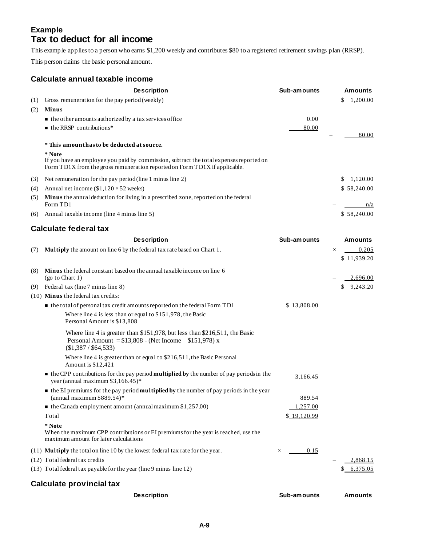### <span id="page-9-0"></span>**Example Tax to deduct for all income**

This example applies to a person who earns \$1,200 weekly and contributes \$80 to a registered retirement savings plan (RRSP).

This person claims the basic personal amount.

#### <span id="page-9-1"></span>**Calculate annual taxable income**

|     | <b>Description</b>                                                                                                                                                              | Sub-amounts | <b>Amounts</b>  |
|-----|---------------------------------------------------------------------------------------------------------------------------------------------------------------------------------|-------------|-----------------|
| (1) | Gross remuneration for the pay period (weekly)                                                                                                                                  |             | 1,200.00<br>S.  |
| (2) | Minus                                                                                                                                                                           |             |                 |
|     | $\blacksquare$ the other amounts authorized by a tax services office                                                                                                            | 0.00        |                 |
|     | $\blacksquare$ the RRSP contributions*                                                                                                                                          | 80.00       |                 |
|     |                                                                                                                                                                                 |             | 80.00           |
|     | * This amount has to be deducted at source.                                                                                                                                     |             |                 |
|     | * Note<br>If you have an employee you paid by commission, subtract the total expenses reported on<br>Form TD1X from the gross remuneration reported on Form TD1X if applicable. |             |                 |
| (3) | Net remuneration for the pay period (line 1 minus line 2)                                                                                                                       |             | 1,120.00<br>\$. |
| (4) | Annual net income $(\$1,120 \times 52$ weeks)                                                                                                                                   |             | \$58,240.00     |
| (5) | <b>Minus</b> the annual deduction for living in a prescribed zone, reported on the federal<br>Form TD1                                                                          |             | n/a             |
| (6) | Annual taxable income (line 4 minus line 5)                                                                                                                                     |             | \$58,240.00     |

#### <span id="page-9-2"></span>**Calculate federal tax**

|     | <b>Description</b>                                                                                                                                               | Sub-amounts      | <b>Amounts</b>    |
|-----|------------------------------------------------------------------------------------------------------------------------------------------------------------------|------------------|-------------------|
| (7) | <b>Multiply</b> the amount on line 6 by the federal tax rate based on Chart 1.                                                                                   |                  | 0.205<br>$\times$ |
|     |                                                                                                                                                                  |                  | \$11,939.20       |
| (8) | <b>Minus</b> the federal constant based on the annual taxable income on line 6<br>$(go \text{ to Chart 1})$                                                      |                  | 2,696.00          |
| (9) | Federal tax (line 7 minus line 8)                                                                                                                                |                  | \$9,243.20        |
|     | $(10)$ Minus the federal tax credits:                                                                                                                            |                  |                   |
|     | • the total of personal tax credit amounts reported on the federal Form TD1                                                                                      | \$13,808.00      |                   |
|     | Where line 4 is less than or equal to \$151,978, the Basic<br>Personal Amount is \$13,808                                                                        |                  |                   |
|     | Where line 4 is greater than \$151,978, but less than \$216,511, the Basic<br>Personal Amount = $$13,808$ - (Net Income - $$151,978$ ) x<br>(\$1,387 / \$64,533) |                  |                   |
|     | Where line 4 is greater than or equal to \$216,511, the Basic Personal<br>Amount is \$12,421                                                                     |                  |                   |
|     | $\blacksquare$ the CPP contributions for the pay period <b>multiplied by</b> the number of pay periods in the<br>year (annual maximum \$3,166.45)*               | 3,166.45         |                   |
|     | $\bullet$ the EI premiums for the pay period <b>multiplied by</b> the number of pay periods in the year<br>(annual maximum $$889.54$ )*                          | 889.54           |                   |
|     | $\bullet$ the Canada employment amount (annual maximum \$1,257.00)                                                                                               | 1,257.00         |                   |
|     | Total                                                                                                                                                            | \$19,120.99      |                   |
|     | * Note                                                                                                                                                           |                  |                   |
|     | When the maximum CPP contributions or EI premiums for the year is reached, use the<br>maximum amount for later calculations                                      |                  |                   |
|     | (11) <b>Multiply</b> the total on line 10 by the lowest federal tax rate for the year.                                                                           | 0.15<br>$\times$ |                   |
|     | (12) Total federal tax credits                                                                                                                                   |                  | 2,868.15          |
|     | (13) Total federal tax payable for the year (line 9 minus line 12)                                                                                               |                  | \$6,375,05        |
|     | Calculate provincial tax                                                                                                                                         |                  |                   |

<span id="page-9-3"></span>**Description Sub-amounts Amounts**